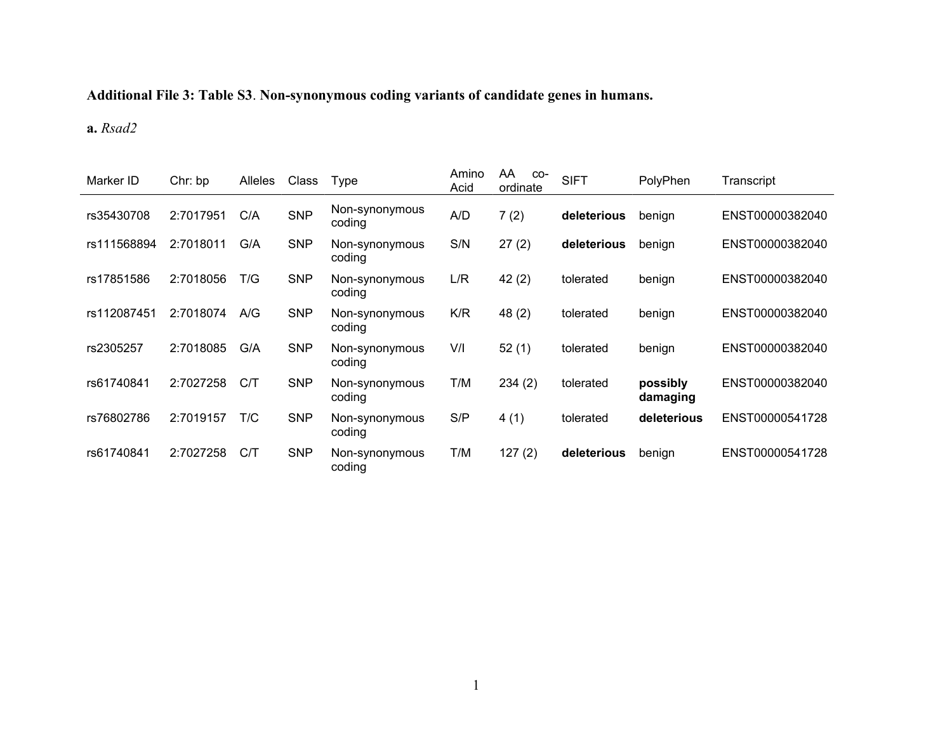## **Additional File 3: Table S3**. **Non-synonymous coding variants of candidate genes in humans.**

## **a.** *Rsad2*

| Marker ID   | Chr: bp   | <b>Alleles</b> | Class      | Type                     | Amino<br>Acid | AA<br>$CO-$<br>ordinate | <b>SIFT</b> | PolyPhen             | Transcript      |
|-------------|-----------|----------------|------------|--------------------------|---------------|-------------------------|-------------|----------------------|-----------------|
| rs35430708  | 2:7017951 | C/A            | <b>SNP</b> | Non-synonymous<br>coding | A/D           | 7(2)                    | deleterious | benign               | ENST00000382040 |
| rs111568894 | 2:7018011 | G/A            | <b>SNP</b> | Non-synonymous<br>coding | S/N           | 27(2)                   | deleterious | benign               | ENST00000382040 |
| rs17851586  | 2:7018056 | T/G            | <b>SNP</b> | Non-synonymous<br>coding | L/R           | 42(2)                   | tolerated   | benign               | ENST00000382040 |
| rs112087451 | 2:7018074 | A/G            | <b>SNP</b> | Non-synonymous<br>coding | K/R           | 48 (2)                  | tolerated   | benign               | ENST00000382040 |
| rs2305257   | 2:7018085 | G/A            | <b>SNP</b> | Non-synonymous<br>coding | V/I           | 52(1)                   | tolerated   | benign               | ENST00000382040 |
| rs61740841  | 2:7027258 | C/T            | <b>SNP</b> | Non-synonymous<br>coding | T/M           | 234(2)                  | tolerated   | possibly<br>damaging | ENST00000382040 |
| rs76802786  | 2:7019157 | T/C            | <b>SNP</b> | Non-synonymous<br>coding | S/P           | 4(1)                    | tolerated   | deleterious          | ENST00000541728 |
| rs61740841  | 2:7027258 | C/T            | <b>SNP</b> | Non-synonymous<br>coding | T/M           | 127(2)                  | deleterious | benign               | ENST00000541728 |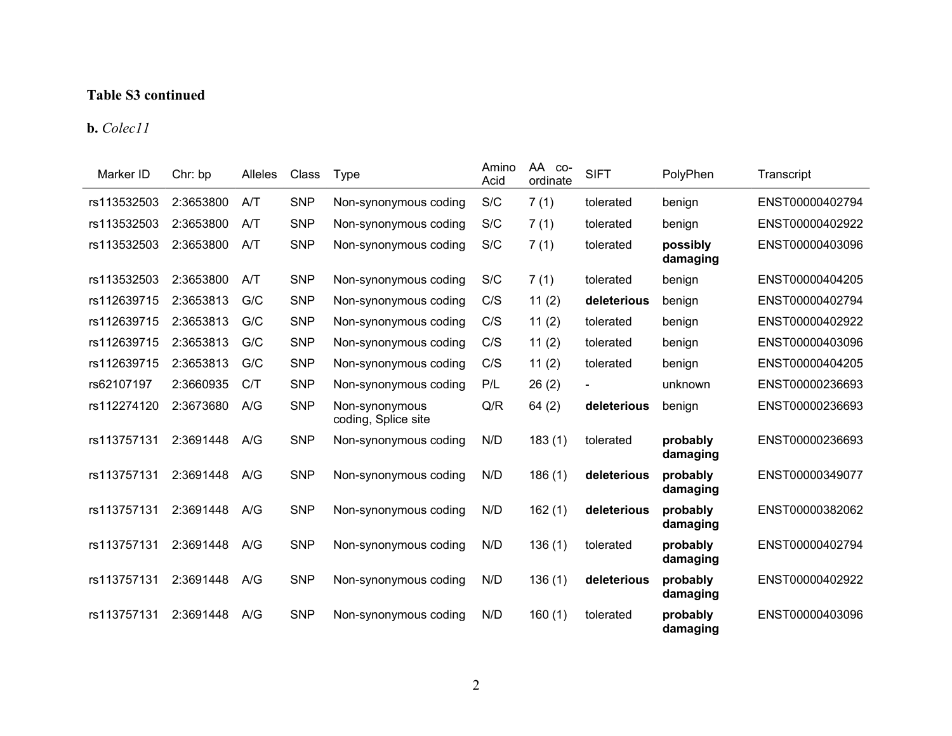## **Table S3 continued**

**b.** *Colec11*

| Marker ID   | Chr: bp   | Alleles | Class      | <b>Type</b>                           | Amino<br>Acid | AA<br>CO-<br>ordinate | <b>SIFT</b> | PolyPhen             | Transcript      |
|-------------|-----------|---------|------------|---------------------------------------|---------------|-----------------------|-------------|----------------------|-----------------|
| rs113532503 | 2:3653800 | A/T     | <b>SNP</b> | Non-synonymous coding                 | S/C           | 7(1)                  | tolerated   | benign               | ENST00000402794 |
| rs113532503 | 2:3653800 | A/T     | <b>SNP</b> | Non-synonymous coding                 | S/C           | 7(1)                  | tolerated   | benign               | ENST00000402922 |
| rs113532503 | 2:3653800 | A/T     | <b>SNP</b> | Non-synonymous coding                 | S/C           | 7(1)                  | tolerated   | possibly<br>damaging | ENST00000403096 |
| rs113532503 | 2:3653800 | A/T     | <b>SNP</b> | Non-synonymous coding                 | S/C           | 7(1)                  | tolerated   | benign               | ENST00000404205 |
| rs112639715 | 2:3653813 | G/C     | <b>SNP</b> | Non-synonymous coding                 | C/S           | 11(2)                 | deleterious | benign               | ENST00000402794 |
| rs112639715 | 2:3653813 | G/C     | <b>SNP</b> | Non-synonymous coding                 | C/S           | 11(2)                 | tolerated   | benign               | ENST00000402922 |
| rs112639715 | 2:3653813 | G/C     | <b>SNP</b> | Non-synonymous coding                 | C/S           | 11(2)                 | tolerated   | benign               | ENST00000403096 |
| rs112639715 | 2:3653813 | G/C     | <b>SNP</b> | Non-synonymous coding                 | C/S           | 11(2)                 | tolerated   | benign               | ENST00000404205 |
| rs62107197  | 2:3660935 | C/T     | <b>SNP</b> | Non-synonymous coding                 | P/L           | 26(2)                 |             | unknown              | ENST00000236693 |
| rs112274120 | 2:3673680 | A/G     | <b>SNP</b> | Non-synonymous<br>coding, Splice site | Q/R           | 64(2)                 | deleterious | benign               | ENST00000236693 |
| rs113757131 | 2:3691448 | A/G     | <b>SNP</b> | Non-synonymous coding                 | N/D           | 183(1)                | tolerated   | probably<br>damaging | ENST00000236693 |
| rs113757131 | 2:3691448 | A/G     | <b>SNP</b> | Non-synonymous coding                 | N/D           | 186(1)                | deleterious | probably<br>damaging | ENST00000349077 |
| rs113757131 | 2:3691448 | A/G     | <b>SNP</b> | Non-synonymous coding                 | N/D           | 162(1)                | deleterious | probably<br>damaging | ENST00000382062 |
| rs113757131 | 2:3691448 | A/G     | <b>SNP</b> | Non-synonymous coding                 | N/D           | 136(1)                | tolerated   | probably<br>damaging | ENST00000402794 |
| rs113757131 | 2:3691448 | A/G     | <b>SNP</b> | Non-synonymous coding                 | N/D           | 136(1)                | deleterious | probably<br>damaging | ENST00000402922 |
| rs113757131 | 2:3691448 | A/G     | <b>SNP</b> | Non-synonymous coding                 | N/D           | 160(1)                | tolerated   | probably<br>damaging | ENST00000403096 |